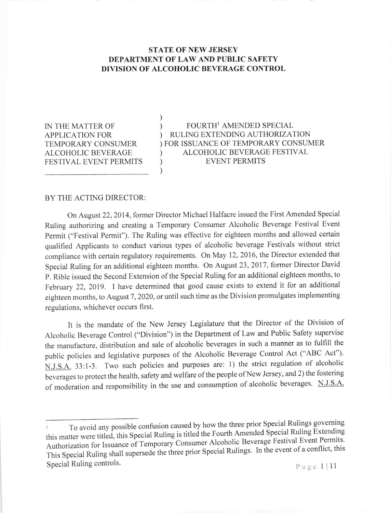## STATE OF NEW JERSEY DEPARTMENT OF LAW AND PUBLIC SAFETY DIVISION OF ALCOHOLIC BEVERAGE CONTROL

) )

 $)$ 

IN THE MATTER OF APPLICATION FOR TEMPORARY CONSUMER ALCOHOLIC BEVERAGE FESTIVAL EVENT PERMITS

FOURTH<sup>1</sup> AMENDED SPECIAL RULING EXTENDING AUTHORIZATION FOR ISSUANCE OF TEMPORARY CONSUMER ) ALCOHOLIC BEVERAGE FESTIVAL EVENT PERMITS  $\lambda$ )  $\lambda$ 

## BY THE ACTING DIRECTOR:

On August 22,2014, former Director Michael Halfacre issued the First Amended Special Ruling authorizing and creating a Temporary Consumer Alcoholic Beverage Festival Event Permit ("Festival Permit"). The Ruling was effective for eighteen months and allowed certain qualified Applicants to conduct various types of alcoholic beverage Festivals without strict compliance with certain regulatory requirements. On May 12, 2016, the Director extended that Special Ruling for an additional eighteen months. on August 23, 2017, former Director David P. Rible issued the Second Extension of the Special Ruling for an additional eighteen months, to February 22,2019. I have determined that good cause exists to extend it for an additional eighteen months, to August 7, 2020, or until such time as the Division promulgates implementing regulations, whichever occurs first.

It is the mandate of the New Jersey Legislature that the Director of the Division of Alcoholic Beverage Control ("Division") in the Department of Law and Public Safety supervise the manufacture, distribution and sale of alcoholic beverages in such a manner as to fulfill the public policies and legislative purposes of the Alcoholic Beverage Control Act ("ABC Act"). N.J.S.A. 33:1-3. Two such policies and purposes are: 1) the strict regulation of alcoholic beverages to protect the health, safety and welfare of the people of New Jersey, and 2) the fostering of moderation and responsibility in the use and consumption of alcoholic beverages. N.J.S.A.

To avoid any possible confusion caused by how the three prior Special Rulings governing this matter were titled, this Special Ruling is titled the Fourth Amended Special Ruling Extending<br>Contract Permits Alexander Special Ruling is titled the Fourth Amended Special Ruling Extending Authorization for Issuance of Temporary Consum er Alcoholic Beverage Festival Event Permits' Authorization for issuance of Temperary Comes and Rulings. In the event of a conflict, this This Special Ruling shall supersede the three prior Special Rulings. In the event of a conflict, this Special Ruling controls.  $P \text{ a } q \in 1 \mid 11$